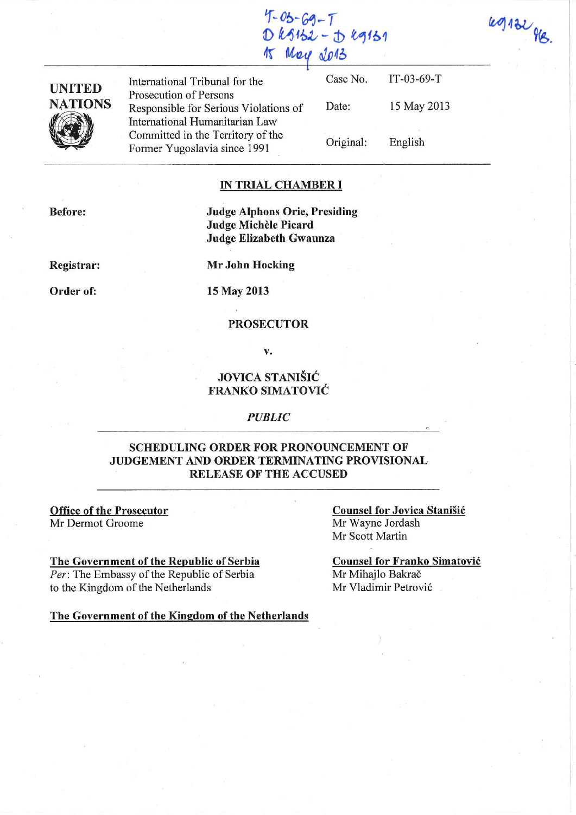$49132$  HB.

| $4 - 05 - 69 - 7$ |                     |
|-------------------|---------------------|
|                   | $D k5152 - J k9151$ |
| 15 May 2013       |                     |



UNITED<br>
International Tribunal for the<br>
Prosecution of Persons<br>
Responsible for Serious Violations of Date: 15 May 2013<br>
International Humanitarian Law<br>
Committed in the Territory of the<br>
Former Yugoslavia since 1991 Drigi

## **IN TRIAL CHAMBER I**

**Before:** 

**Judge Alphons Orie, Presiding Judge Michele Picard Jndge Elizabeth Gwaunza** 

**Registrar:** 

**Mr John Hocking** 

**Order of:** 

**15** May **2013** 

#### **PROSECUTOR**

v.

# **JOVICA STANISIC FRANKO SIMATOVIC**

#### *PUBLIC*

## **SCHEDULING ORDER FOR PRONOUNCEMENT OF JUDGEMENT AND ORDER TERMINATING PROVISIONAL RELEASE OF THE ACCUSED**

**Office of the Prosecutor** Mr Dermot Groome

#### **The Government of the Republic of Serbia**

*Per:* The Embassy of the Republic of Serbia to the Kingdom of the Netherlands

The Government of the Kingdom of the Netherlands

**Counsel for Jovica Stanišić** Mr Wayne Jordash Mr Scott Martin

**Counsel for Franko Simatovic**  Mr Mihajlo Bakrač Mr Vladimir Petrovic